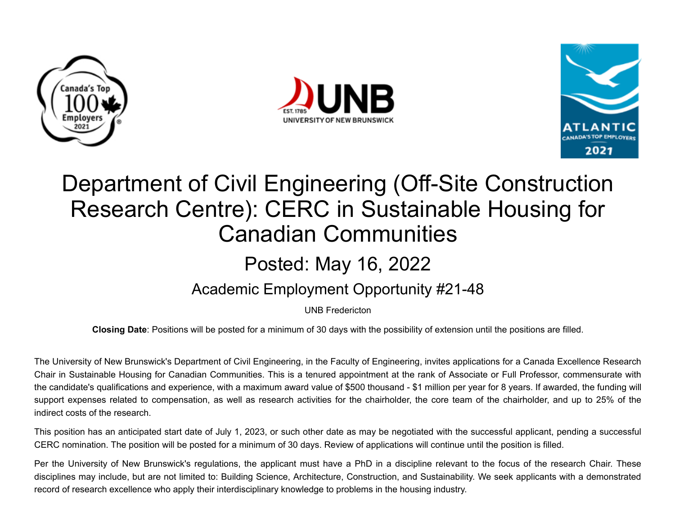





## Department of Civil Engineering (Off-Site Construction Research Centre): CERC in Sustainable Housing for Canadian Communities

## Posted: May 16, 2022

## Academic Employment Opportunity #21-48

UNB Fredericton

**Closing Date**: Positions will be posted for a minimum of 30 days with the possibility of extension until the positions are filled.

The University of New Brunswick's Department of Civil Engineering, in the Faculty of Engineering, invites applications for a Canada Excellence Research Chair in Sustainable Housing for Canadian Communities. This is a tenured appointment at the rank of Associate or Full Professor, commensurate with the candidate's qualifications and experience, with a maximum award value of \$500 thousand - \$1 million per year for 8 years. If awarded, the funding will support expenses related to compensation, as well as research activities for the chairholder, the core team of the chairholder, and up to 25% of the indirect costs of the research.

This position has an anticipated start date of July 1, 2023, or such other date as may be negotiated with the successful applicant, pending a successful CERC nomination. The position will be posted for a minimum of 30 days. Review of applications will continue until the position is filled.

Per the University of New Brunswick's regulations, the applicant must have a PhD in a discipline relevant to the focus of the research Chair. These disciplines may include, but are not limited to: Building Science, Architecture, Construction, and Sustainability. We seek applicants with a demonstrated record of research excellence who apply their interdisciplinary knowledge to problems in the housing industry.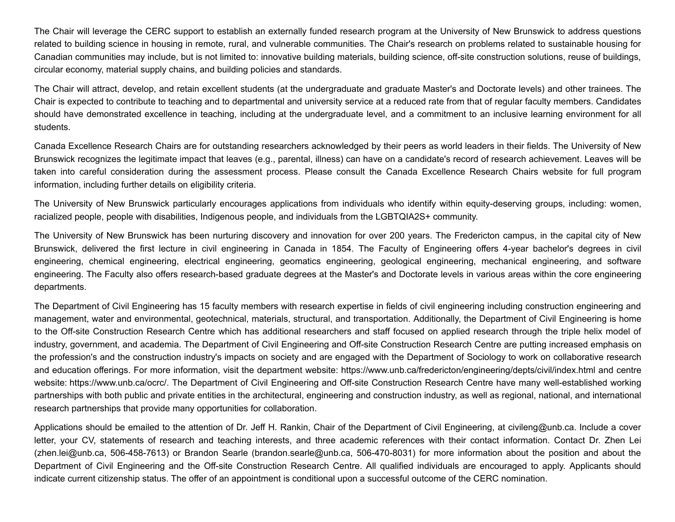The Chair will leverage the CERC support to establish an externally funded research program at the University of New Brunswick to address questions related to building science in housing in remote, rural, and vulnerable communities. The Chair's research on problems related to sustainable housing for Canadian communities may include, but is not limited to: innovative building materials, building science, off-site construction solutions, reuse of buildings, circular economy, material supply chains, and building policies and standards.

The Chair will attract, develop, and retain excellent students (at the undergraduate and graduate Master's and Doctorate levels) and other trainees. The Chair is expected to contribute to teaching and to departmental and university service at a reduced rate from that of regular faculty members. Candidates should have demonstrated excellence in teaching, including at the undergraduate level, and a commitment to an inclusive learning environment for all students.

Canada Excellence Research Chairs are for outstanding researchers acknowledged by their peers as world leaders in their fields. The University of New Brunswick recognizes the legitimate impact that leaves (e.g., parental, illness) can have on a candidate's record of research achievement. Leaves will be taken into careful consideration during the assessment process. Please consult the Canada Excellence Research Chairs website for full program information, including further details on eligibility criteria.

The University of New Brunswick particularly encourages applications from individuals who identify within equity-deserving groups, including: women, racialized people, people with disabilities, Indigenous people, and individuals from the LGBTQIA2S+ community.

The University of New Brunswick has been nurturing discovery and innovation for over 200 years. The Fredericton campus, in the capital city of New Brunswick, delivered the first lecture in civil engineering in Canada in 1854. The Faculty of Engineering offers 4-year bachelor's degrees in civil engineering, chemical engineering, electrical engineering, geomatics engineering, geological engineering, mechanical engineering, and software engineering. The Faculty also offers research-based graduate degrees at the Master's and Doctorate levels in various areas within the core engineering departments.

The Department of Civil Engineering has 15 faculty members with research expertise in fields of civil engineering including construction engineering and management, water and environmental, geotechnical, materials, structural, and transportation. Additionally, the Department of Civil Engineering is home to the Off-site Construction Research Centre which has additional researchers and staff focused on applied research through the triple helix model of industry, government, and academia. The Department of Civil Engineering and Off-site Construction Research Centre are putting increased emphasis on the profession's and the construction industry's impacts on society and are engaged with the Department of Sociology to work on collaborative research and education offerings. For more information, visit the department website: <https://www.unb.ca/fredericton/engineering/depts/civil/index.html> and centre website: [https://www.unb.ca/ocrc/.](https://www.unb.ca/ocrc/) The Department of Civil Engineering and Off-site Construction Research Centre have many well-established working partnerships with both public and private entities in the architectural, engineering and construction industry, as well as regional, national, and international research partnerships that provide many opportunities for collaboration.

Applications should be emailed to the attention of Dr. Jeff H. Rankin, Chair of the Department of Civil Engineering, at [civileng@unb.ca](mailto:civileng@unb.ca). Include a cover letter, your CV, statements of research and teaching interests, and three academic references with their contact information. Contact Dr. Zhen Lei ([zhen.lei@unb.ca](mailto:zhen.lei@unb.ca), 506-458-7613) or Brandon Searle ([brandon.searle@unb.ca](mailto:brandon.searle@unb.ca), 506-470-8031) for more information about the position and about the Department of Civil Engineering and the Off-site Construction Research Centre. All qualified individuals are encouraged to apply. Applicants should indicate current citizenship status. The offer of an appointment is conditional upon a successful outcome of the CERC nomination.